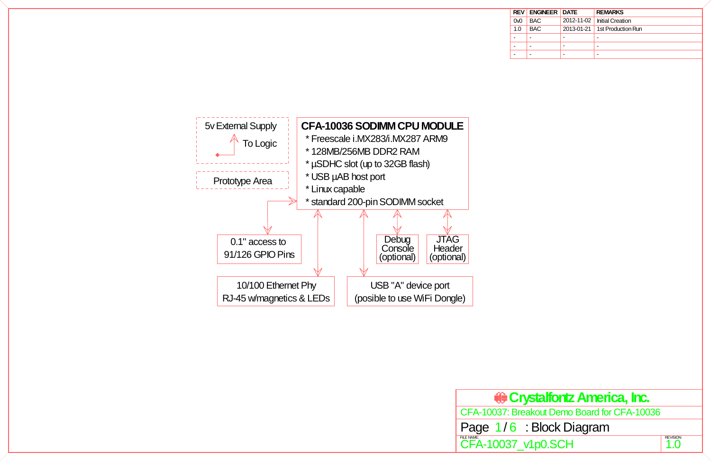CFA-10037: Breakout Demo Board for CFA-10036

| <b>REV</b>     | <b>ENGINEER DATE</b> |            | <b>REMARKS</b>          |
|----------------|----------------------|------------|-------------------------|
| 0 <sub>0</sub> | <b>BAC</b>           | 2012-11-02 | <b>Initial Creation</b> |
| 1.0            | <b>BAC</b>           | 2013-01-21 | 1st Production Run      |
| ۰              |                      |            |                         |
| ۰              |                      |            |                         |
| ۰              |                      |            |                         |

# Page 1/6 : Block Diagram



# **Crystalfontz America, Inc.**

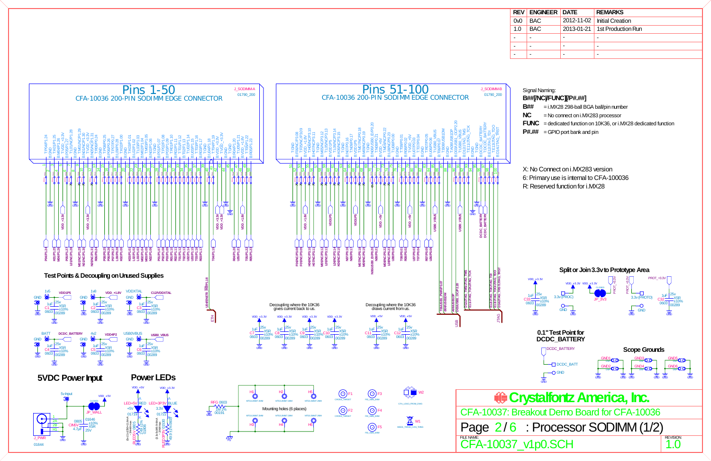| <b>REV</b> | <b>ENGINEER DATE</b> |            | <b>REMARKS</b>          |
|------------|----------------------|------------|-------------------------|
| 0v0        | <b>BAC</b>           | 2012-11-02 | <b>Initial Creation</b> |
| 1.0        | BAC.                 | 2013-01-21 | 1st Production Run      |
| ۰          |                      |            |                         |
| ۰          |                      |            |                         |
| -          |                      |            |                         |

- 
- 
- 
- 
- 
- 
- 

 $\frac{1.0}{1.0}$ 0v0

<span id="page-1-0"></span>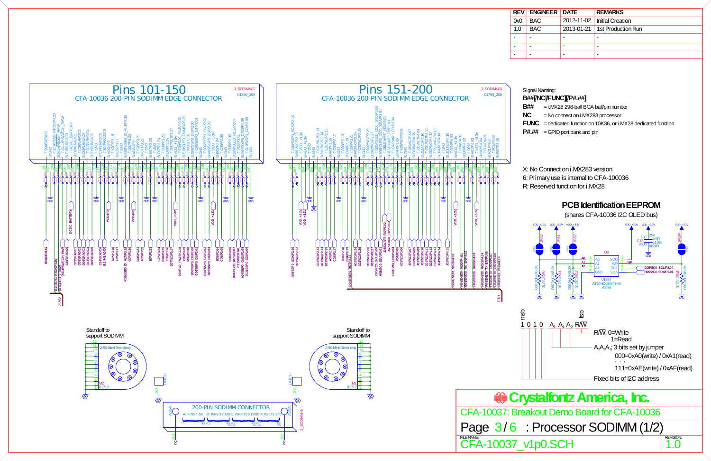0v0

| <b>REV</b> | <b>ENGINEER DATE</b> |            | <b>REMARKS</b>          |
|------------|----------------------|------------|-------------------------|
| 0v0        | <b>BAC</b>           | 2012-11-02 | <b>Initial Creation</b> |
| 1.0        | <b>BAC</b>           | 2013-01-21 | 1st Production Run      |
| ۰          | -                    |            |                         |
| ۰          | -                    |            |                         |
| ۰          |                      |            |                         |

- 
- 
- 
- 
- 
- 
- 

<span id="page-2-0"></span>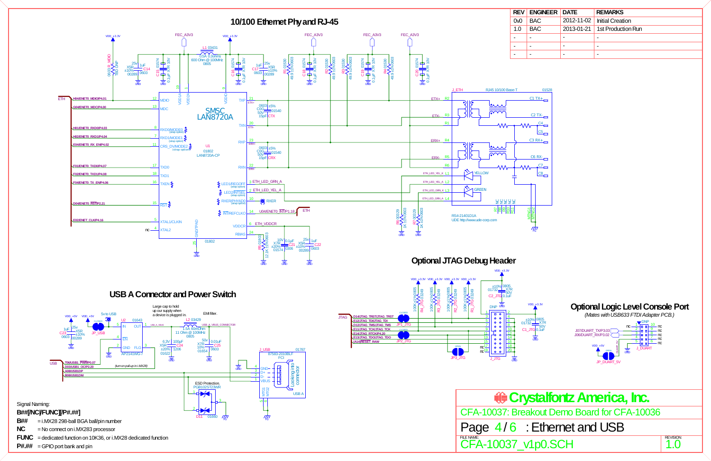<span id="page-3-0"></span>

| <b>ENGINEER   DATE</b> |            | <b>REMARKS</b>          |
|------------------------|------------|-------------------------|
| <b>BAC</b>             | 2012-11-02 | <b>Initial Creation</b> |
| <b>BAC</b>             | 2013-01-21 | 1st Production Run      |
|                        |            |                         |
|                        |            |                         |
|                        |            |                         |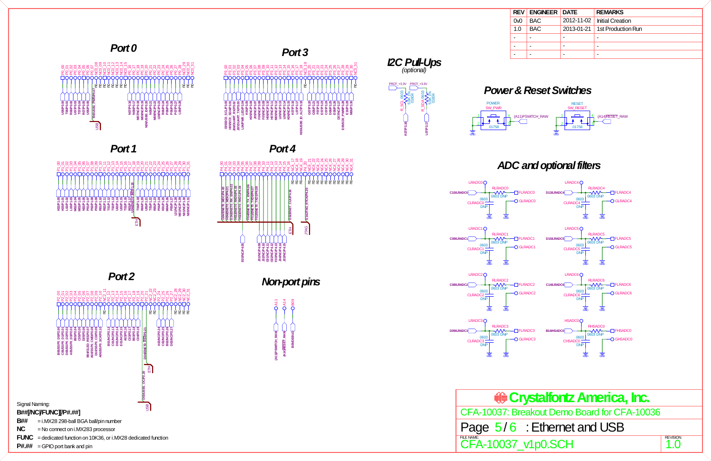0v0

| <b>REV</b> | <b>ENGINEER DATE</b> |            | <b>REMARKS</b>          |
|------------|----------------------|------------|-------------------------|
| 0v0        | <b>BAC</b>           | 2012-11-02 | <b>Initial Creation</b> |
| 1.0        | <b>BAC</b>           | 2013-01-21 | 1st Production Run      |
| ۰          |                      |            |                         |
| ۰          |                      |            |                         |
| ۰          |                      |            |                         |

**Crystalfontz America, Inc.** CFA-10037: Breakout Demo Board for CFA-10036

## Page  $5/6$ : Ethernet and USB

FLE NAME:<br> $\text{CFA-10037\_v1p0.SCH}$  1.0

### *Power & Reset Switches*

### *ADC and optional filters*

<span id="page-4-0"></span>

**P#.##** = GPIO port bank and pin

**B## NC**

**FUNC** = dedicated function on 10K36, or i.MX28 dedicated function

4